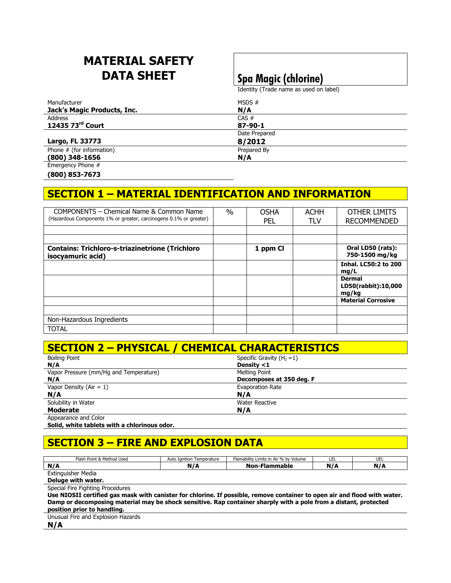# **MATERIAL SAFETY DATA SHEET Spa Magic (chlorine)**

Identity (Trade name as used on label)

| Manufacturer                | MSDS#         |  |
|-----------------------------|---------------|--|
| Jack's Magic Products, Inc. | N/A           |  |
| Address                     | $CAS \#$      |  |
| 12435 73rd Court            | 87-90-1       |  |
|                             | Date Prepared |  |
| Largo, FL 33773             | 8/2012        |  |
| Phone # (for information)   | Prepared By   |  |
| $(800)$ 348-1656            | N/A           |  |
| Emergency Phone #           |               |  |

**(800) 853-7673** 

## **SECTION 1 – MATERIAL IDENTIFICATION AND INFORMATION**

| COMPONENTS - Chemical Name & Common Name                                    | $\%$ | <b>OSHA</b> | <b>ACHH</b> | OTHER LIMITS                                  |
|-----------------------------------------------------------------------------|------|-------------|-------------|-----------------------------------------------|
| (Hazardous Components 1% or greater, carcinogens 0.1% or greater)           |      | <b>PEL</b>  | <b>TLV</b>  | <b>RECOMMENDED</b>                            |
|                                                                             |      |             |             |                                               |
|                                                                             |      |             |             |                                               |
| <b>Contains: Trichloro-s-triazinetrione (Trichloro</b><br>isocyamuric acid) |      | 1 ppm Cl    |             | Oral LD50 (rats):<br>750-1500 mg/kg           |
|                                                                             |      |             |             | <b>Inhal. LC50:2 to 200</b><br>mg/L           |
|                                                                             |      |             |             | <b>Dermal</b><br>LD50(rabbit):10,000<br>mg/kg |
|                                                                             |      |             |             | <b>Material Corrosive</b>                     |
|                                                                             |      |             |             |                                               |
| Non-Hazardous Ingredients                                                   |      |             |             |                                               |
| <b>TOTAL</b>                                                                |      |             |             |                                               |

# **SECTION 2 – PHYSICAL / CHEMICAL CHARACTERISTICS**

| <b>Boiling Point</b>                                 | Specific Gravity $(H_2=1)$ |  |
|------------------------------------------------------|----------------------------|--|
| N/A                                                  | Density <1                 |  |
| Vapor Pressure (mm/Hg and Temperature)               | Melting Point              |  |
| N/A                                                  | Decomposes at 350 deg. F   |  |
| Vapor Density ( $Air = 1$ )                          | Evaporation Rate           |  |
| N/A                                                  | N/A                        |  |
| Solubility in Water                                  | Water Reactive             |  |
| <b>Moderate</b>                                      | N/A                        |  |
| A construction of $\alpha$ and $\alpha$ and $\alpha$ |                            |  |

Appearance and Color

**Solid, white tablets with a chlorinous odor.** 

# **SECTION 3 – FIRE AND EXPLOSION DATA**

| Flash Point & Method Used | Temperature<br>Ignition<br>nuw | v Limits in Air % by Volume<br><br>- Flamability I | ᄔᄔ | $\overline{\phantom{a}}$<br>◡∟∟ |
|---------------------------|--------------------------------|----------------------------------------------------|----|---------------------------------|
| N/I                       | N 7 A                          | Nor.<br>`mmable                                    |    | .                               |
| Extinguicher Modia        |                                |                                                    |    |                                 |

Extinguisher Media **Deluge with water.** 

Special Fire Fighting Procedures

**Use NIOSII certified gas mask with canister for chlorine. If possible, remove container to open air and flood with water. Damp or decomposing material may be shock sensitive. Rap container sharply with a pole from a distant, protected position prior to handling.** 

Unusual Fire and Explosion Hazards

**N/A**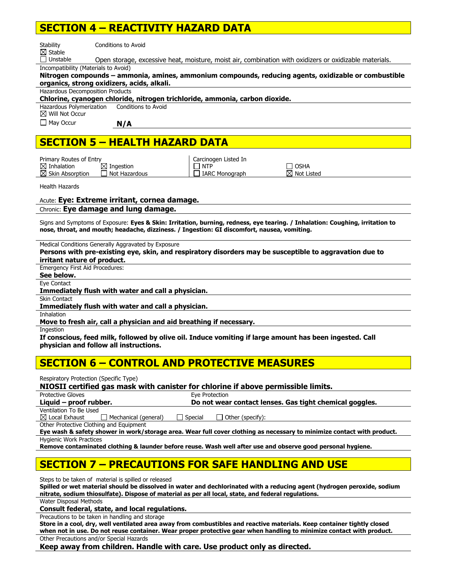## **SECTION 4 – REACTIVITY HAZARD DATA**

| Stability                                                                        | Conditions to Avoid                                                                                                                                                                                                          |
|----------------------------------------------------------------------------------|------------------------------------------------------------------------------------------------------------------------------------------------------------------------------------------------------------------------------|
| $\boxtimes$ Stable<br>$\Box$ Unstable                                            |                                                                                                                                                                                                                              |
| Incompatibility (Materials to Avoid)                                             | Open storage, excessive heat, moisture, moist air, combination with oxidizers or oxidizable materials.                                                                                                                       |
|                                                                                  | Nitrogen compounds - ammonia, amines, ammonium compounds, reducing agents, oxidizable or combustible                                                                                                                         |
|                                                                                  | organics, strong oxidizers, acids, alkali.                                                                                                                                                                                   |
| <b>Hazardous Decomposition Products</b>                                          |                                                                                                                                                                                                                              |
|                                                                                  | Chlorine, cyanogen chloride, nitrogen trichloride, ammonia, carbon dioxide.                                                                                                                                                  |
| Hazardous Polymerization<br>$\boxtimes$ Will Not Occur                           | Conditions to Avoid                                                                                                                                                                                                          |
| $\Box$ May Occur                                                                 | N/A                                                                                                                                                                                                                          |
|                                                                                  | <b>SECTION 5 - HEALTH HAZARD DATA</b>                                                                                                                                                                                        |
|                                                                                  |                                                                                                                                                                                                                              |
| Primary Routes of Entry<br>$\boxtimes$ Inhalation<br>$\boxtimes$ Skin Absorption | Carcinogen Listed In<br>$\Box$ NTP<br>$\boxtimes$ Ingestion<br>Π OSHA<br>Not Hazardous<br>$\boxtimes$ Not Listed<br><b>IARC Monograph</b>                                                                                    |
| <b>Health Hazards</b>                                                            |                                                                                                                                                                                                                              |
|                                                                                  | Acute: Eye: Extreme irritant, cornea damage.                                                                                                                                                                                 |
|                                                                                  | Chronic: Eye damage and lung damage.                                                                                                                                                                                         |
|                                                                                  | Signs and Symptoms of Exposure: Eyes & Skin: Irritation, burning, redness, eye tearing. / Inhalation: Coughing, irritation to<br>nose, throat, and mouth; headache, dizziness. / Ingestion: GI discomfort, nausea, vomiting. |
|                                                                                  | Medical Conditions Generally Aggravated by Exposure                                                                                                                                                                          |
|                                                                                  | Persons with pre-existing eye, skin, and respiratory disorders may be susceptible to aggravation due to                                                                                                                      |
| irritant nature of product.                                                      |                                                                                                                                                                                                                              |
| <b>Emergency First Aid Procedures:</b>                                           |                                                                                                                                                                                                                              |
| See below.                                                                       |                                                                                                                                                                                                                              |
| Eye Contact                                                                      | Immediately flush with water and call a physician.                                                                                                                                                                           |
| <b>Skin Contact</b>                                                              |                                                                                                                                                                                                                              |
|                                                                                  | Immediately flush with water and call a physician.                                                                                                                                                                           |
| Inhalation                                                                       |                                                                                                                                                                                                                              |
|                                                                                  | Move to fresh air, call a physician and aid breathing if necessary.                                                                                                                                                          |
| Ingestion                                                                        |                                                                                                                                                                                                                              |
|                                                                                  | If conscious, feed milk, followed by olive oil. Induce vomiting if large amount has been ingested. Call                                                                                                                      |
|                                                                                  | physician and follow all instructions.                                                                                                                                                                                       |
|                                                                                  | <b>SECTION 6 - CONTROL AND PROTECTIVE MEASURES</b>                                                                                                                                                                           |

|  | Respiratory Protection (Specific Type) |  |
|--|----------------------------------------|--|
|  |                                        |  |

**NIOSII certified gas mask with canister for chlorine if above permissible limits.** 

Protective Gloves **Exercise Exercise** Eve Protection **Liquid – proof rubber. Do not wear contact lenses. Gas tight chemical goggles.**  Ventilation To Be Used

 $\boxtimes$  Local Exhaust  $\qquad \Box$  Mechanical (general)  $\qquad \Box$  Special  $\qquad \Box$  Other (specify):

Other Protective Clothing and Equipment

**Eye wash & safety shower in work/storage area. Wear full cover clothing as necessary to minimize contact with product.**  Hygienic Work Practices

**Remove contaminated clothing & launder before reuse. Wash well after use and observe good personal hygiene.** 

## **SECTION 7 – PRECAUTIONS FOR SAFE HANDLING AND USE**

Steps to be taken of material is spilled or released

**Spilled or wet material should be dissolved in water and dechlorinated with a reducing agent (hydrogen peroxide, sodium nitrate, sodium thiosulfate). Dispose of material as per all local, state, and federal regulations.** 

Water Disposal Methods

**Consult federal, state, and local regulations.** 

Precautions to be taken in handling and storage

**Store in a cool, dry, well ventilated area away from combustibles and reactive materials. Keep container tightly closed when not in use. Do not reuse container. Wear proper protective gear when handling to minimize contact with product.**  Other Precautions and/or Special Hazards

**Keep away from children. Handle with care. Use product only as directed.**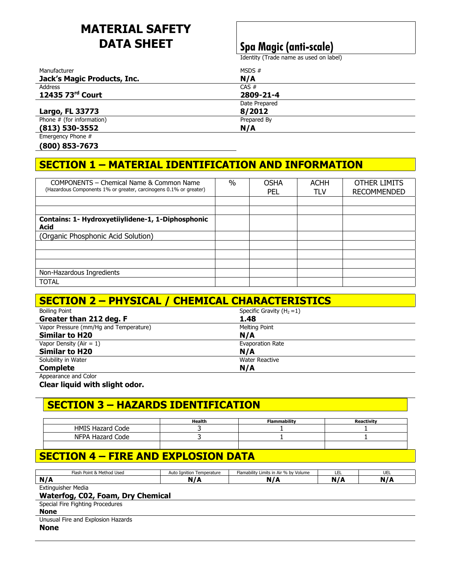# **MATERIAL SAFETY DATA SHEET Spa Magic (anti-scale)**

Identity (Trade name as used on label)

| Manufacturer                | MSDS $#$      |
|-----------------------------|---------------|
| Jack's Magic Products, Inc. | N/A           |
| Address                     | CAS #         |
| 12435 73rd Court            | 2809-21-4     |
|                             | Date Prepared |
| Largo, FL 33773             | 8/2012        |
| Phone # (for information)   | Prepared By   |
| $(813)$ 530-3552            | N/A           |
| Emergency Phone #           |               |

**(800) 853-7673** 

## **SECTION 1 – MATERIAL IDENTIFICATION AND INFORMATION**

| COMPONENTS - Chemical Name & Common Name                          | $\frac{0}{0}$ | <b>OSHA</b> | <b>ACHH</b> | OTHER LIMITS       |
|-------------------------------------------------------------------|---------------|-------------|-------------|--------------------|
| (Hazardous Components 1% or greater, carcinogens 0.1% or greater) |               | PEL         | <b>TLV</b>  | <b>RECOMMENDED</b> |
|                                                                   |               |             |             |                    |
|                                                                   |               |             |             |                    |
| Contains: 1- Hydroxyetiiylidene-1, 1-Diphosphonic                 |               |             |             |                    |
| <b>Acid</b>                                                       |               |             |             |                    |
| (Organic Phosphonic Acid Solution)                                |               |             |             |                    |
|                                                                   |               |             |             |                    |
|                                                                   |               |             |             |                    |
|                                                                   |               |             |             |                    |
| Non-Hazardous Ingredients                                         |               |             |             |                    |
| <b>TOTAL</b>                                                      |               |             |             |                    |

| <b>SECTION 2 - PHYSICAL / CHEMICAL CHARACTERISTICS</b> |                            |  |
|--------------------------------------------------------|----------------------------|--|
| <b>Boiling Point</b>                                   | Specific Gravity $(H_2=1)$ |  |
| Greater than 212 deg. F                                | 1.48                       |  |
| Vapor Pressure (mm/Hg and Temperature)                 | <b>Melting Point</b>       |  |
| <b>Similar to H20</b>                                  | N/A                        |  |
| Vapor Density ( $Air = 1$ )                            | <b>Evaporation Rate</b>    |  |
| <b>Similar to H20</b>                                  | N/A                        |  |
| Solubility in Water                                    | <b>Water Reactive</b>      |  |
| <b>Complete</b>                                        | N/A                        |  |
| Appearance and Color                                   |                            |  |

**Clear liquid with slight odor.** 

# **SECTION 3 – HAZARDS IDENTIFICATION**

|                       | Health | <b>Flammability</b> | activity. |
|-----------------------|--------|---------------------|-----------|
| ' Code<br>HMIS Hazard |        |                     |           |
| Code<br>NFPA Hazard   |        |                     |           |
|                       |        |                     |           |

# **SECTION 4 – FIRE AND EXPLOSION DATA**

| Flash Point & Method Used          | Auto Ignition Temperature | Flamability Limits in Air % by Volume | LEL | <b>UEL</b> |
|------------------------------------|---------------------------|---------------------------------------|-----|------------|
| N/A                                | N/A                       | N/A                                   | N/A | N/A        |
| <b>Extinguisher Media</b>          |                           |                                       |     |            |
| Waterfog, C02, Foam, Dry Chemical  |                           |                                       |     |            |
| Special Fire Fighting Procedures   |                           |                                       |     |            |
| <b>None</b>                        |                           |                                       |     |            |
| Unusual Fire and Explosion Hazards |                           |                                       |     |            |
| <b>None</b>                        |                           |                                       |     |            |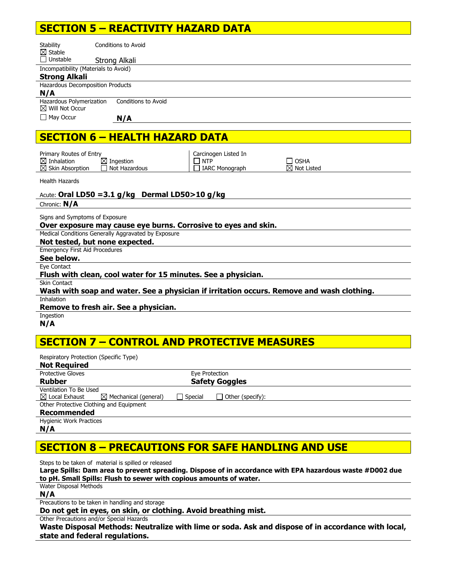## **SECTION 5 – REACTIVITY HAZARD DATA**

| Stability<br>$\boxtimes$ Stable<br>$\Box$ Unstable     | <b>Conditions to Avoid</b><br>Strong Alkali |
|--------------------------------------------------------|---------------------------------------------|
| Incompatibility (Materials to Avoid)                   |                                             |
|                                                        |                                             |
| <b>Strong Alkali</b>                                   |                                             |
| Hazardous Decomposition Products                       |                                             |
| N/A                                                    |                                             |
| Hazardous Polymerization<br>$\boxtimes$ Will Not Occur | Conditions to Avoid                         |
| $\Box$ May Occur                                       | N/A                                         |
|                                                        | <b>SECTION 6 - HEALTH HAZARD DATA</b>       |

| Primary Routes of Entry                               |                                                     | Carcinogen Listed In                        |                                  |
|-------------------------------------------------------|-----------------------------------------------------|---------------------------------------------|----------------------------------|
| $\boxtimes$ Inhalation<br>$\boxtimes$ Skin Absorption | $\boxtimes$ Ingestion<br><sup>1</sup> Not Hazardous | $\blacksquare$ NTP<br>$\Box$ IARC Monograph | I OSHA<br>$\boxtimes$ Not Listed |
|                                                       |                                                     |                                             |                                  |

Health Hazards

## Acute: **Oral LD50 =3.1 g/kg Dermal LD50>10 g/kg**

Chronic: **N/A**

Signs and Symptoms of Exposure

### **Over exposure may cause eye burns. Corrosive to eyes and skin.**

Medical Conditions Generally Aggravated by Exposure

**Not tested, but none expected.** 

Emergency First Aid Procedures **See below.** 

Eye Contact

### **Flush with clean, cool water for 15 minutes. See a physician.**

Skin Contact

|                   |  | Wash with soap and water. See a physician if irritation occurs. Remove and wash clothing. |  |
|-------------------|--|-------------------------------------------------------------------------------------------|--|
| <b>Inhalation</b> |  |                                                                                           |  |

Inhalation

### **Remove to fresh air. See a physician.**

Ingestion **N/A** 

## **SECTION 7 – CONTROL AND PROTECTIVE MEASURES**

| Respiratory Protection (Specific Type)  |                                  |                |                         |  |
|-----------------------------------------|----------------------------------|----------------|-------------------------|--|
| <b>Not Required</b>                     |                                  |                |                         |  |
| <b>Protective Gloves</b>                |                                  | Eye Protection |                         |  |
| <b>Rubber</b>                           |                                  |                | <b>Safety Goggles</b>   |  |
| Ventilation To Be Used                  |                                  |                |                         |  |
| $\boxtimes$ Local Exhaust               | $\boxtimes$ Mechanical (general) | <b>Special</b> | $\Box$ Other (specify): |  |
| Other Protective Clothing and Equipment |                                  |                |                         |  |
| <b>Recommended</b>                      |                                  |                |                         |  |
| <b>Hygienic Work Practices</b>          |                                  |                |                         |  |

**N/A** 

## **SECTION 8 – PRECAUTIONS FOR SAFE HANDLING AND USE**

Steps to be taken of material is spilled or released

**Large Spills: Dam area to prevent spreading. Dispose of in accordance with EPA hazardous waste #D002 due to pH. Small Spills: Flush to sewer with copious amounts of water.** 

Water Disposal Methods

**N/A** 

Precautions to be taken in handling and storage

**Do not get in eyes, on skin, or clothing. Avoid breathing mist.** 

Other Precautions and/or Special Hazards

**Waste Disposal Methods: Neutralize with lime or soda. Ask and dispose of in accordance with local, state and federal regulations.**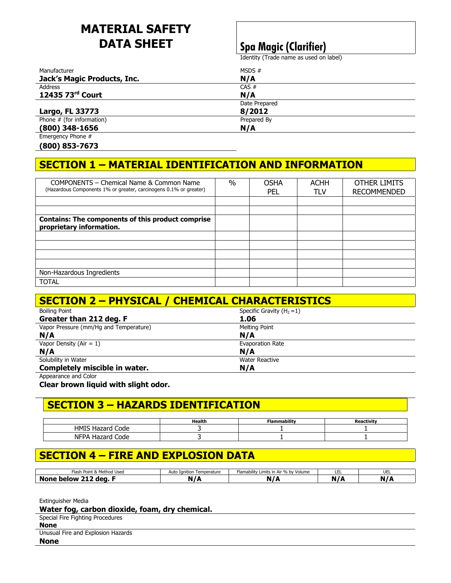# **MATERIAL SAFETY DATA SHEET Spa Magic (Clarifier)**

Identity (Trade name as used on label)

| Manufacturer                | MSDS $#$      |  |
|-----------------------------|---------------|--|
| Jack's Magic Products, Inc. | N/A           |  |
| Address                     | CAS #         |  |
| 12435 73rd Court            | N/A           |  |
|                             | Date Prepared |  |
| Largo, FL 33773             | 8/2012        |  |
| Phone $#$ (for information) | Prepared By   |  |
| $(800)$ 348-1656            | N/A           |  |
| Emergency Phone #           |               |  |

**(800) 853-7673** 

## **SECTION 1 – MATERIAL IDENTIFICATION AND INFORMATION**

| COMPONENTS - Chemical Name & Common Name                                             | $\frac{0}{0}$ | <b>OSHA</b> | <b>ACHH</b> | OTHER LIMITS       |
|--------------------------------------------------------------------------------------|---------------|-------------|-------------|--------------------|
| (Hazardous Components 1% or greater, carcinogens 0.1% or greater)                    |               | PFL         | TLV         | <b>RECOMMENDED</b> |
|                                                                                      |               |             |             |                    |
|                                                                                      |               |             |             |                    |
| <b>Contains: The components of this product comprise</b><br>proprietary information. |               |             |             |                    |
|                                                                                      |               |             |             |                    |
|                                                                                      |               |             |             |                    |
|                                                                                      |               |             |             |                    |
|                                                                                      |               |             |             |                    |
| Non-Hazardous Ingredients                                                            |               |             |             |                    |
| <b>TOTAL</b>                                                                         |               |             |             |                    |

| <b>SECTION 2 - PHYSICAL / CHEMICAL CHARACTERISTICS</b> |                              |  |
|--------------------------------------------------------|------------------------------|--|
| <b>Boiling Point</b>                                   | Specific Gravity $(H_2 = 1)$ |  |
| Greater than 212 deg. F                                | 1.06                         |  |
| Vapor Pressure (mm/Hq and Temperature)                 | Melting Point                |  |
| N/A                                                    | N/A                          |  |
| Vapor Density (Air = $1$ )                             | Evaporation Rate             |  |
| N/A                                                    | N/A                          |  |
| Solubility in Water                                    | <b>Water Reactive</b>        |  |
| Completely miscible in water.                          | N/A                          |  |
| Appearance and Color                                   |                              |  |

**Clear brown liquid with slight odor.** 

## **SECTION 3 – HAZARDS IDENTIFICATION**

|                                   | Health | <b>Flammability</b> |  |
|-----------------------------------|--------|---------------------|--|
| HMIS H<br>Code<br>12722<br>azzaru |        |                     |  |
| <b>NFPA</b><br>Code               |        |                     |  |

## **SECTION 4 – FIRE AND EXPLOSION DATA**

| Point &<br>: Method Used<br>Flash | $\cdots$<br>Temperature<br>Ianition<br>Auto | Limits in Air % by Volume<br>Flamability | --- | UEL |
|-----------------------------------|---------------------------------------------|------------------------------------------|-----|-----|
| .<br>dea.<br>NON<br>nw            | w                                           |                                          |     | .   |

Extinguisher Media

**Water fog, carbon dioxide, foam, dry chemical.** 

|  | Special Fire Fighting Procedures |
|--|----------------------------------|
|--|----------------------------------|

**None** 

Unusual Fire and Explosion Hazards

**None**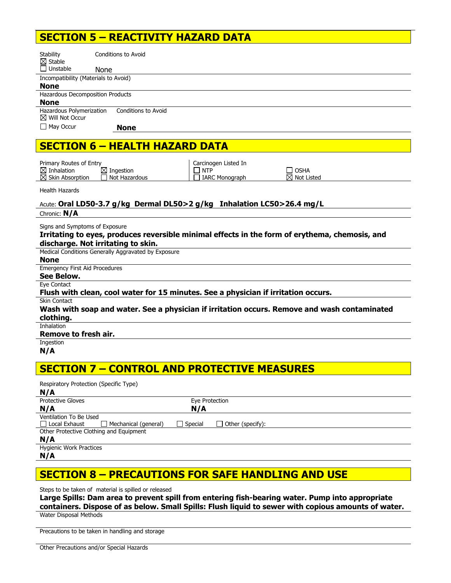## **SECTION 5 – REACTIVITY HAZARD DATA**

| <b>Stability</b>                                       | Conditions to Avoid                                                                            |
|--------------------------------------------------------|------------------------------------------------------------------------------------------------|
| $\boxtimes$ Stable<br>$\Box$ Unstable                  | <b>None</b>                                                                                    |
| Incompatibility (Materials to Avoid)                   |                                                                                                |
| <b>None</b>                                            |                                                                                                |
| Hazardous Decomposition Products                       |                                                                                                |
| <b>None</b>                                            |                                                                                                |
| Hazardous Polymerization<br>$\boxtimes$ Will Not Occur | Conditions to Avoid                                                                            |
| $\Box$ May Occur                                       | <b>None</b>                                                                                    |
|                                                        |                                                                                                |
|                                                        | <b>SECTION 6 - HEALTH HAZARD DATA</b>                                                          |
|                                                        |                                                                                                |
| Primary Routes of Entry<br>$\boxtimes$ Inhalation      | Carcinogen Listed In<br>$\boxtimes$ Ingestion<br><b>NTP</b><br><b>OSHA</b>                     |
| $\boxtimes$ Skin Absorption                            | Not Hazardous<br><b>IARC Monograph</b><br>$\boxtimes$ Not Listed                               |
| <b>Health Hazards</b>                                  |                                                                                                |
|                                                        | Acute: Oral LD50-3.7 g/kg Dermal DL50>2 g/kg Inhalation LC50>26.4 mg/L                         |
| Chronic: N/A                                           |                                                                                                |
| Signs and Symptoms of Exposure                         |                                                                                                |
|                                                        | Irritating to eyes, produces reversible minimal effects in the form of erythema, chemosis, and |
|                                                        | discharge. Not irritating to skin.                                                             |
|                                                        | Medical Conditions Generally Aggravated by Exposure                                            |
| <b>None</b>                                            |                                                                                                |
| <b>Emergency First Aid Procedures</b>                  |                                                                                                |
| See Below.                                             |                                                                                                |
| Eye Contact                                            |                                                                                                |
|                                                        | Flush with clean, cool water for 15 minutes. See a physician if irritation occurs.             |
| Skin Contact                                           |                                                                                                |
|                                                        | Wash with soap and water. See a physician if irritation occurs. Remove and wash contaminated   |
| clothing.                                              |                                                                                                |
| Inhalation                                             |                                                                                                |
| <b>Remove to fresh air.</b><br>Ingestion               |                                                                                                |
| N/A                                                    |                                                                                                |
|                                                        |                                                                                                |
|                                                        |                                                                                                |

## **SECTION 7 – CONTROL AND PROTECTIVE MEASURES**

| Respiratory Protection (Specific Type)       |         |                                  |
|----------------------------------------------|---------|----------------------------------|
| N/A                                          |         |                                  |
| <b>Protective Gloves</b>                     |         | Eye Protection                   |
| N/A                                          | N/A     |                                  |
| Ventilation To Be Used                       |         |                                  |
| □ Local Exhaust<br>Mechanical (general)<br>П | Special | Other (specify):<br>$\mathbf{I}$ |
| Other Protective Clothing and Equipment      |         |                                  |
| N/A                                          |         |                                  |
| <b>Hygienic Work Practices</b>               |         |                                  |
| N/A                                          |         |                                  |

# **SECTION 8 – PRECAUTIONS FOR SAFE HANDLING AND USE**

Steps to be taken of material is spilled or released

**Large Spills: Dam area to prevent spill from entering fish-bearing water. Pump into appropriate containers. Dispose of as below. Small Spills: Flush liquid to sewer with copious amounts of water.**  Water Disposal Methods

Precautions to be taken in handling and storage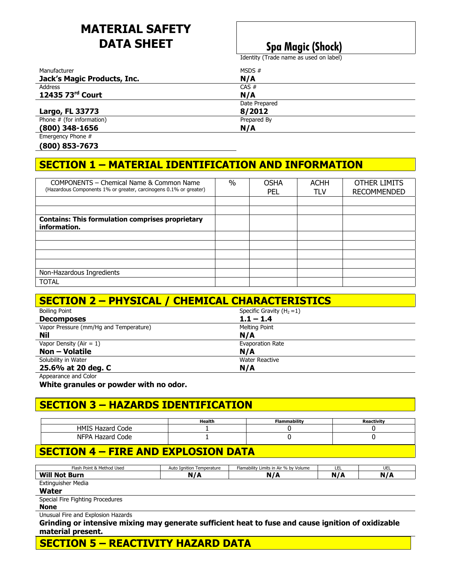# **MATERIAL SAFETY DATA SHEET** Spa Magic (Shock)

Identity (Trade name as used on label)

| Manufacturer                | MSDS $#$      |  |
|-----------------------------|---------------|--|
| Jack's Magic Products, Inc. | N/A           |  |
| Address                     | CAS #         |  |
| 12435 73rd Court            | N/A           |  |
|                             | Date Prepared |  |
| Largo, FL 33773             | 8/2012        |  |
| Phone $#$ (for information) | Prepared By   |  |
| $(800)$ 348-1656            | N/A           |  |
| Emergency Phone #           |               |  |

**(800) 853-7673** 

## **SECTION 1 – MATERIAL IDENTIFICATION AND INFORMATION**

| COMPONENTS - Chemical Name & Common Name                                | $\%$ | <b>OSHA</b> | <b>ACHH</b> | OTHER LIMITS       |
|-------------------------------------------------------------------------|------|-------------|-------------|--------------------|
| (Hazardous Components 1% or greater, carcinogens 0.1% or greater)       |      | <b>PEL</b>  | TLV         | <b>RECOMMENDED</b> |
|                                                                         |      |             |             |                    |
|                                                                         |      |             |             |                    |
| <b>Contains: This formulation comprises proprietary</b><br>information. |      |             |             |                    |
|                                                                         |      |             |             |                    |
|                                                                         |      |             |             |                    |
|                                                                         |      |             |             |                    |
|                                                                         |      |             |             |                    |
| Non-Hazardous Ingredients                                               |      |             |             |                    |
| <b>TOTAL</b>                                                            |      |             |             |                    |

| <b>SECTION 2 - PHYSICAL / CHEMICAL CHARACTERISTICS</b> |                              |  |  |
|--------------------------------------------------------|------------------------------|--|--|
| <b>Boiling Point</b>                                   | Specific Gravity $(H_2 = 1)$ |  |  |
| <b>Decomposes</b>                                      | $1.1 - 1.4$                  |  |  |
| Vapor Pressure (mm/Hg and Temperature)                 | Melting Point                |  |  |
| Nil                                                    | N/A                          |  |  |
| Vapor Density (Air = $1$ )                             | <b>Evaporation Rate</b>      |  |  |
| <b>Non - Volatile</b>                                  | N/A                          |  |  |
| Solubility in Water                                    | <b>Water Reactive</b>        |  |  |
| 25.6% at 20 deg. C                                     | N/A                          |  |  |
| Annonvance and Color                                   |                              |  |  |

Appearance and Color

**White granules or powder with no odor.** 

## **SECTION 3 – HAZARDS IDENTIFICATION**

|                               | Health | <b>Flammability</b> |  |
|-------------------------------|--------|---------------------|--|
| Code<br>HMIS Ha<br>Hazard     |        |                     |  |
| Code<br><b>NFPA</b><br>Hazard |        |                     |  |

## **SECTION 4 – FIRE AND EXPLOSION DATA**

| Flash Point & Method Used                                                                          | Auto Ignition Temperature | Flamability Limits in Air % by Volume | LEL | UEL |  |
|----------------------------------------------------------------------------------------------------|---------------------------|---------------------------------------|-----|-----|--|
| <b>Will Not Burn</b>                                                                               | N/A                       | N/A                                   | N/A | N/A |  |
| Extinguisher Media                                                                                 |                           |                                       |     |     |  |
| Water                                                                                              |                           |                                       |     |     |  |
| Special Fire Fighting Procedures                                                                   |                           |                                       |     |     |  |
| <b>None</b>                                                                                        |                           |                                       |     |     |  |
| Unusual Fire and Explosion Hazards                                                                 |                           |                                       |     |     |  |
| Grinding or intensive mixing may generate sufficient heat to fuse and cause ignition of oxidizable |                           |                                       |     |     |  |
|                                                                                                    |                           |                                       |     |     |  |

**material present.** 

**SECTION 5 – REACTIVITY HAZARD DATA**